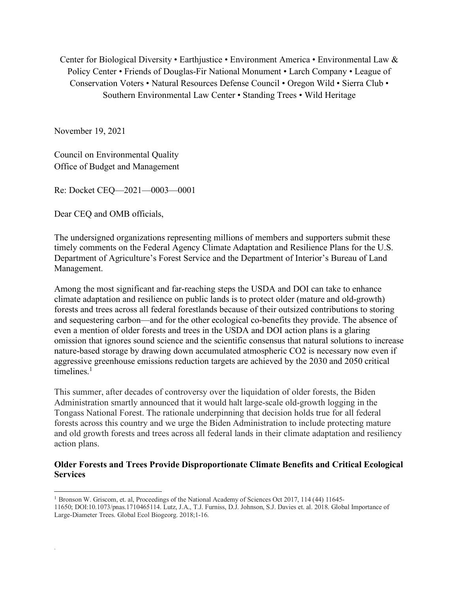Center for Biological Diversity • Earthjustice • Environment America • Environmental Law & Policy Center • Friends of Douglas-Fir National Monument • Larch Company • League of Conservation Voters • Natural Resources Defense Council • Oregon Wild • Sierra Club • Southern Environmental Law Center • Standing Trees • Wild Heritage

November 19, 2021

.

Council on Environmental Quality Office of Budget and Management

Re: Docket CEQ—2021—0003—0001

Dear CEQ and OMB officials,

The undersigned organizations representing millions of members and supporters submit these timely comments on the Federal Agency Climate Adaptation and Resilience Plans for the U.S. Department of Agriculture's Forest Service and the Department of Interior's Bureau of Land Management.

Among the most significant and far-reaching steps the USDA and DOI can take to enhance climate adaptation and resilience on public lands is to protect older (mature and old-growth) forests and trees across all federal forestlands because of their outsized contributions to storing and sequestering carbon—and for the other ecological co-benefits they provide. The absence of even a mention of older forests and trees in the USDA and DOI action plans is a glaring omission that ignores sound science and the scientific consensus that natural solutions to increase nature-based storage by drawing down accumulated atmospheric CO2 is necessary now even if aggressive greenhouse emissions reduction targets are achieved by the 2030 and 2050 critical timelines $1$ 

This summer, after decades of controversy over the liquidation of older forests, the Biden Administration smartly announced that it would halt large-scale old-growth logging in the Tongass National Forest. The rationale underpinning that decision holds true for all federal forests across this country and we urge the Biden Administration to include protecting mature and old growth forests and trees across all federal lands in their climate adaptation and resiliency action plans.

## **Older Forests and Trees Provide Disproportionate Climate Benefits and Critical Ecological Services**

1 Bronson W. Griscom, et. al, Proceedings of the National Academy of Sciences Oct 2017, 114 (44) 11645-

<sup>11650;</sup> DOI:10.1073/pnas.1710465114. Lutz, J.A., T.J. Furniss, D.J. Johnson, S.J. Davies et. al. 2018. Global Importance of Large-Diameter Trees. Global Ecol Biogeorg. 2018;1-16.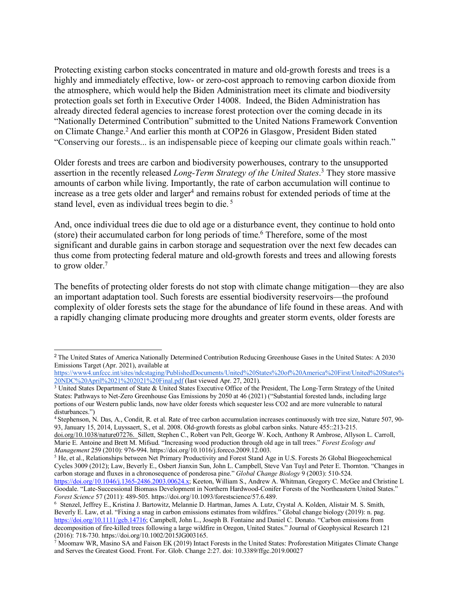Protecting existing carbon stocks concentrated in mature and old-growth forests and trees is a highly and immediately effective, low- or zero-cost approach to removing carbon dioxide from the atmosphere, which would help the Biden Administration meet its climate and biodiversity protection goals set forth in Executive Order 14008. Indeed, the Biden Administration has already directed federal agencies to increase forest protection over the coming decade in its "Nationally Determined Contribution" submitted to the United Nations Framework Convention on Climate Change.2 And earlier this month at COP26 in Glasgow, President Biden stated "Conserving our forests... is an indispensable piece of keeping our climate goals within reach."

Older forests and trees are carbon and biodiversity powerhouses, contrary to the unsupported assertion in the recently released *Long-Term Strategy of the United States*. <sup>3</sup> They store massive amounts of carbon while living. Importantly, the rate of carbon accumulation will continue to increase as a tree gets older and larger<sup>4</sup> and remains robust for extended periods of time at the stand level, even as individual trees begin to die. 5

And, once individual trees die due to old age or a disturbance event, they continue to hold onto (store) their accumulated carbon for long periods of time.<sup>6</sup> Therefore, some of the most significant and durable gains in carbon storage and sequestration over the next few decades can thus come from protecting federal mature and old-growth forests and trees and allowing forests to grow older.<sup>7</sup>

The benefits of protecting older forests do not stop with climate change mitigation—they are also an important adaptation tool. Such forests are essential biodiversity reservoirs—the profound complexity of older forests sets the stage for the abundance of life found in these areas. And with a rapidly changing climate producing more droughts and greater storm events, older forests are

 <sup>2</sup> The United States of America Nationally Determined Contribution Reducing Greenhouse Gases in the United States: A 2030 Emissions Target (Apr. 2021), available at

https://www4.unfccc.int/sites/ndcstaging/PublishedDocuments/United%20States%20of%20America%20First/United%20States%<br>20NDC%20April%2021%202021%20Final.pdf (last viewed Apr. 27, 2021).

<sup>&</sup>lt;sup>3</sup> United States Department of State & United States Executive Office of the President, The Long-Term Strategy of the United States: Pathways to Net-Zero Greenhouse Gas Emissions by 2050 at 46 (2021) ("Substantial forested lands, including large portions of our Western public lands, now have older forests which sequester less CO2 and are more vulnerable to natural disturbances.")

<sup>4</sup> Stephenson, N. Das, A., Condit, R. et al. Rate of tree carbon accumulation increases continuously with tree size, Nature 507, 90- 93, January 15, 2014, Luyssaert, S., et al. 2008. Old-growth forests as global carbon sinks. Nature 455::213-215.

doi.org/10.1038/nature07276. Sillett, Stephen C., Robert van Pelt, George W. Koch, Anthony R Ambrose, Allyson L. Carroll, Marie E. Antoine and Brett M. Mifsud. "Increasing wood production through old age in tall trees." *Forest Ecology and* 

<sup>&</sup>lt;sup>5</sup> He, et al., Relationships between Net Primary Productivity and Forest Stand Age in U.S. Forests 26 Global Biogeochemical Cycles 3009 (2012); Law, Beverly E., Osbert Jianxin Sun, John L. Campbell, Steve Van Tuyl and Peter E. Thornton. "Changes in carbon storage and fluxes in a chronosequence of ponderosa pine." *Global Change Biology* 9 (2003): 510-524.

https://doi.org/10.1046/j.1365-2486.2003.00624.x; Keeton, William S., Andrew A. Whitman, Gregory C. McGee and Christine L Goodale. "Late-Successional Biomass Development in Northern Hardwood-Conifer Forests of the Northeastern United States." *Forest Science 57* (2011): 489-505. https://doi.org/10.1093/forestscience/57.6.489.<br><sup>6</sup> Stenzel, Jeffrey E., Kristina J. Bartowitz, Melannie D. Hartman, James A. Lutz, Crystal A. Kolden, Alistair M. S. Smith,

Beverly E. Law, et al. "Fixing a snag in carbon emissions estimates from wildfires." Global change biology (2019): n. pag. https://doi.org/10.1111/gcb.14716; Campbell, John L., Joseph B. Fontaine and Daniel C. Donato. "Carbon emissions from decomposition of fire-killed trees following a large wildfire in Oregon, United States." Journal of Geophysical Research 121 (2016): 718-730. https://doi.org/10.1002/2015JG003165.

 $\hat{\phi}$  Moomaw WR, Masino SA and Faison EK (2019) Intact Forests in the United States: Proforestation Mitigates Climate Change and Serves the Greatest Good. Front. For. Glob. Change 2:27. doi: 10.3389/ffgc.2019.00027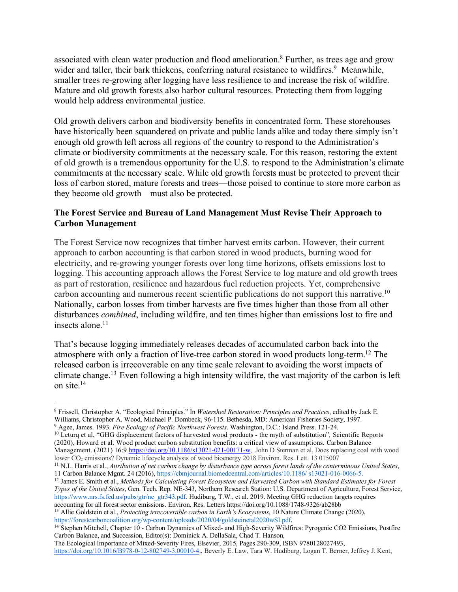associated with clean water production and flood amelioration.8 Further, as trees age and grow wider and taller, their bark thickens, conferring natural resistance to wildfires.<sup>9</sup> Meanwhile, smaller trees re-growing after logging have less resilience to and increase the risk of wildfire. Mature and old growth forests also harbor cultural resources. Protecting them from logging would help address environmental justice.

Old growth delivers carbon and biodiversity benefits in concentrated form. These storehouses have historically been squandered on private and public lands alike and today there simply isn't enough old growth left across all regions of the country to respond to the Administration's climate or biodiversity commitments at the necessary scale. For this reason, restoring the extent of old growth is a tremendous opportunity for the U.S. to respond to the Administration's climate commitments at the necessary scale. While old growth forests must be protected to prevent their loss of carbon stored, mature forests and trees—those poised to continue to store more carbon as they become old growth—must also be protected.

## **The Forest Service and Bureau of Land Management Must Revise Their Approach to Carbon Management**

The Forest Service now recognizes that timber harvest emits carbon. However, their current approach to carbon accounting is that carbon stored in wood products, burning wood for electricity, and re-growing younger forests over long time horizons, offsets emissions lost to logging. This accounting approach allows the Forest Service to log mature and old growth trees as part of restoration, resilience and hazardous fuel reduction projects. Yet, comprehensive carbon accounting and numerous recent scientific publications do not support this narrative.<sup>10</sup> Nationally, carbon losses from timber harvests are five times higher than those from all other disturbances *combined*, including wildfire, and ten times higher than emissions lost to fire and insects alone. $11$ 

That's because logging immediately releases decades of accumulated carbon back into the atmosphere with only a fraction of live-tree carbon stored in wood products long-term.12 The released carbon is irrecoverable on any time scale relevant to avoiding the worst impacts of climate change.13 Even following a high intensity wildfire, the vast majority of the carbon is left on site.14

<sup>12</sup> James E. Smith et al., *Methods for Calculating Forest Ecosystem and Harvested Carbon with Standard Estimates for Forest Types of the United States*, Gen. Tech. Rep. NE-343, Northern Research Station: U.S. Department of Agriculture, Forest Service, https://www.nrs.fs.fed.us/pubs/gtr/ne\_gtr343.pdf. Hudiburg, T.W., et al. 2019. Meeting GHG reduction targets requires accounting for all forest sector emissions. Environ. Res. Letters https://doi.org/10.1088/1748-9326/ab28bb

<sup>13</sup> Allie Goldstein et al., *Protecting irrecoverable carbon in Earth's Ecosystems*, 10 Nature Climate Change (2020), https://forestcarboncoalition.org/wp-content/uploads/2020/04/goldsteinetal2020wSI.pdf.

<sup>14</sup> Stephen Mitchell, Chapter 10 - Carbon Dynamics of Mixed- and High-Severity Wildfires: Pyrogenic CO2 Emissions, Postfire Carbon Balance, and Succession, Editor(s): Dominick A. DellaSala, Chad T. Hanson,

The Ecological Importance of Mixed-Severity Fires, Elsevier, 2015, Pages 290-309, ISBN 9780128027493, https://doi.org/10.1016/B978-0-12-802749-3.00010-4., Beverly E. Law, Tara W. Hudiburg, Logan T. Berner, Jeffrey J. Kent,

<sup>8</sup> Frissell, Christopher A. "Ecological Principles." In *Watershed Restoration: Principles and Practices*, edited by Jack E. Williams, Christopher A. Wood, Michael P. Dombeck, 96-115. Bethesda, MD: American Fisheries Society, 1997.

<sup>9</sup> Agee, James. 1993. *Fire Ecology of Pacific Northwest Forests*. Washington, D.C.: Island Press. 121-24.

<sup>10</sup> Leturq et al, "GHG displacement factors of harvested wood products - the myth of substitution"*,* Scientific Reports (2020), Howard et al. Wood product carbon substitution benefits: a critical view of assumptions. Carbon Balance Management. (2021) 16:9 https://doi.org/10.1186/s13021-021-00171-w, John D Sterman et al, Does replacing coal with wood lower CO<sub>2</sub> emissions? Dynamic lifecycle analysis of wood bioenergy 2018 Environ. Res. Lett. 13 015007

<sup>11</sup> N.L. Harris et al., *Attribution of net carbon change by disturbance type across forest lands of the conterminous United States*, 11 Carbon Balance Mgmt. 24 (2016), https://cbmjournal.biomedcentral.com/articles/10.1186/ s13021-016-0066-5.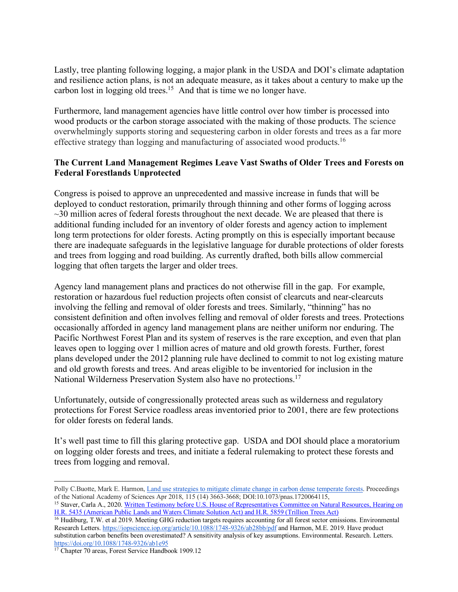Lastly, tree planting following logging, a major plank in the USDA and DOI's climate adaptation and resilience action plans, is not an adequate measure, as it takes about a century to make up the carbon lost in logging old trees.15 And that is time we no longer have.

Furthermore, land management agencies have little control over how timber is processed into wood products or the carbon storage associated with the making of those products. The science overwhelmingly supports storing and sequestering carbon in older forests and trees as a far more effective strategy than logging and manufacturing of associated wood products.<sup>16</sup>

## **The Current Land Management Regimes Leave Vast Swaths of Older Trees and Forests on Federal Forestlands Unprotected**

Congress is poised to approve an unprecedented and massive increase in funds that will be deployed to conduct restoration, primarily through thinning and other forms of logging across  $\sim$ 30 million acres of federal forests throughout the next decade. We are pleased that there is additional funding included for an inventory of older forests and agency action to implement long term protections for older forests. Acting promptly on this is especially important because there are inadequate safeguards in the legislative language for durable protections of older forests and trees from logging and road building. As currently drafted, both bills allow commercial logging that often targets the larger and older trees.

Agency land management plans and practices do not otherwise fill in the gap. For example, restoration or hazardous fuel reduction projects often consist of clearcuts and near-clearcuts involving the felling and removal of older forests and trees. Similarly, "thinning" has no consistent definition and often involves felling and removal of older forests and trees. Protections occasionally afforded in agency land management plans are neither uniform nor enduring. The Pacific Northwest Forest Plan and its system of reserves is the rare exception, and even that plan leaves open to logging over 1 million acres of mature and old growth forests. Further, forest plans developed under the 2012 planning rule have declined to commit to not log existing mature and old growth forests and trees. And areas eligible to be inventoried for inclusion in the National Wilderness Preservation System also have no protections.17

Unfortunately, outside of congressionally protected areas such as wilderness and regulatory protections for Forest Service roadless areas inventoried prior to 2001, there are few protections for older forests on federal lands.

It's well past time to fill this glaring protective gap. USDA and DOI should place a moratorium on logging older forests and trees, and initiate a federal rulemaking to protect these forests and trees from logging and removal.

Polly C.Buotte, Mark E. Harmon, Land use strategies to mitigate climate change in carbon dense temperate forests. Proceedings of the National Academy of Sciences Apr 2018, 115 (14) 3663-3668; DOI:10.1073/pnas.1720064115,

<sup>&</sup>lt;sup>15</sup> Staver, Carla A., 2020. Written Testimony before U.S. House of Representatives Committee on Natural Resources, Hearing on H.R. 5435 (American Public Lands and Waters Climate Solution Act) and H.R. 5859 (Trillion Trees Act)

<sup>&</sup>lt;sup>16</sup> Hudiburg, T.W. et al 2019. Meeting GHG reduction targets requires accounting for all forest sector emissions. Environmental Research Letters. https://iopscience.iop.org/article/10.1088/1748-9326/ab28bb/pdf and Harmon, M.E. 2019. Have product substitution carbon benefits been overestimated? A sensitivity analysis of key assumptions. Environmental. Research. Letters. https://doi.org/10.1088/1748-9326/ab1e95

<sup>&</sup>lt;sup>17</sup> Chapter 70 areas, Forest Service Handbook 1909.12